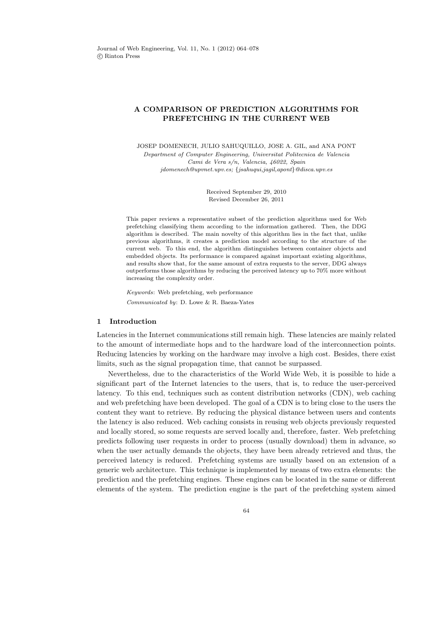# A COMPARISON OF PREDICTION ALGORITHMS FOR PREFETCHING IN THE CURRENT WEB

JOSEP DOMENECH, JULIO SAHUQUILLO, JOSE A. GIL, and ANA PONT Department of Computer Engineering, Universitat Politecnica de Valencia Cami de Vera s/n, Valencia, 46022, Spain jdomenech@upvnet.upv.es; {jsahuqui,jagil,apont}@disca.upv.es

> Received September 29, 2010 Revised December 26, 2011

This paper reviews a representative subset of the prediction algorithms used for Web prefetching classifying them according to the information gathered. Then, the DDG algorithm is described. The main novelty of this algorithm lies in the fact that, unlike previous algorithms, it creates a prediction model according to the structure of the current web. To this end, the algorithm distinguishes between container objects and embedded objects. Its performance is compared against important existing algorithms, and results show that, for the same amount of extra requests to the server, DDG always outperforms those algorithms by reducing the perceived latency up to 70% more without increasing the complexity order.

Keywords: Web prefetching, web performance Communicated by: D. Lowe & R. Baeza-Yates

# 1 Introduction

Latencies in the Internet communications still remain high. These latencies are mainly related to the amount of intermediate hops and to the hardware load of the interconnection points. Reducing latencies by working on the hardware may involve a high cost. Besides, there exist limits, such as the signal propagation time, that cannot be surpassed.

Nevertheless, due to the characteristics of the World Wide Web, it is possible to hide a significant part of the Internet latencies to the users, that is, to reduce the user-perceived latency. To this end, techniques such as content distribution networks (CDN), web caching and web prefetching have been developed. The goal of a CDN is to bring close to the users the content they want to retrieve. By reducing the physical distance between users and contents the latency is also reduced. Web caching consists in reusing web objects previously requested and locally stored, so some requests are served locally and, therefore, faster. Web prefetching predicts following user requests in order to process (usually download) them in advance, so when the user actually demands the objects, they have been already retrieved and thus, the perceived latency is reduced. Prefetching systems are usually based on an extension of a generic web architecture. This technique is implemented by means of two extra elements: the prediction and the prefetching engines. These engines can be located in the same or different elements of the system. The prediction engine is the part of the prefetching system aimed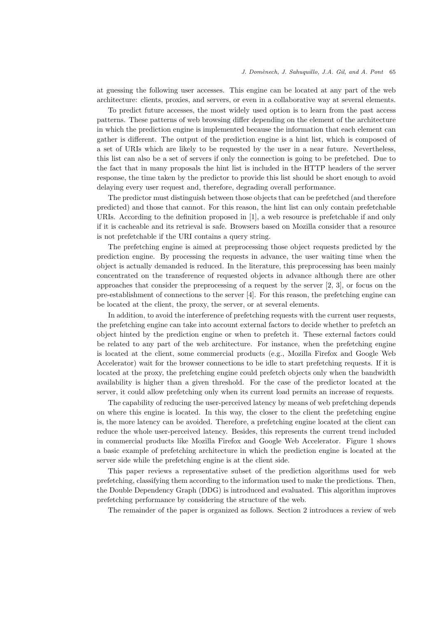at guessing the following user accesses. This engine can be located at any part of the web architecture: clients, proxies, and servers, or even in a collaborative way at several elements.

To predict future accesses, the most widely used option is to learn from the past access patterns. These patterns of web browsing differ depending on the element of the architecture in which the prediction engine is implemented because the information that each element can gather is different. The output of the prediction engine is a hint list, which is composed of a set of URIs which are likely to be requested by the user in a near future. Nevertheless, this list can also be a set of servers if only the connection is going to be prefetched. Due to the fact that in many proposals the hint list is included in the HTTP headers of the server response, the time taken by the predictor to provide this list should be short enough to avoid delaying every user request and, therefore, degrading overall performance.

The predictor must distinguish between those objects that can be prefetched (and therefore predicted) and those that cannot. For this reason, the hint list can only contain prefetchable URIs. According to the definition proposed in [1], a web resource is prefetchable if and only if it is cacheable and its retrieval is safe. Browsers based on Mozilla consider that a resource is not prefetchable if the URI contains a query string.

The prefetching engine is aimed at preprocessing those object requests predicted by the prediction engine. By processing the requests in advance, the user waiting time when the object is actually demanded is reduced. In the literature, this preprocessing has been mainly concentrated on the transference of requested objects in advance although there are other approaches that consider the preprocessing of a request by the server [2, 3], or focus on the pre-establishment of connections to the server [4]. For this reason, the prefetching engine can be located at the client, the proxy, the server, or at several elements.

In addition, to avoid the interference of prefetching requests with the current user requests, the prefetching engine can take into account external factors to decide whether to prefetch an object hinted by the prediction engine or when to prefetch it. These external factors could be related to any part of the web architecture. For instance, when the prefetching engine is located at the client, some commercial products (e.g., Mozilla Firefox and Google Web Accelerator) wait for the browser connections to be idle to start prefetching requests. If it is located at the proxy, the prefetching engine could prefetch objects only when the bandwidth availability is higher than a given threshold. For the case of the predictor located at the server, it could allow prefetching only when its current load permits an increase of requests.

The capability of reducing the user-perceived latency by means of web prefetching depends on where this engine is located. In this way, the closer to the client the prefetching engine is, the more latency can be avoided. Therefore, a prefetching engine located at the client can reduce the whole user-perceived latency. Besides, this represents the current trend included in commercial products like Mozilla Firefox and Google Web Accelerator. Figure 1 shows a basic example of prefetching architecture in which the prediction engine is located at the server side while the prefetching engine is at the client side.

This paper reviews a representative subset of the prediction algorithms used for web prefetching, classifying them according to the information used to make the predictions. Then, the Double Dependency Graph (DDG) is introduced and evaluated. This algorithm improves prefetching performance by considering the structure of the web.

The remainder of the paper is organized as follows. Section 2 introduces a review of web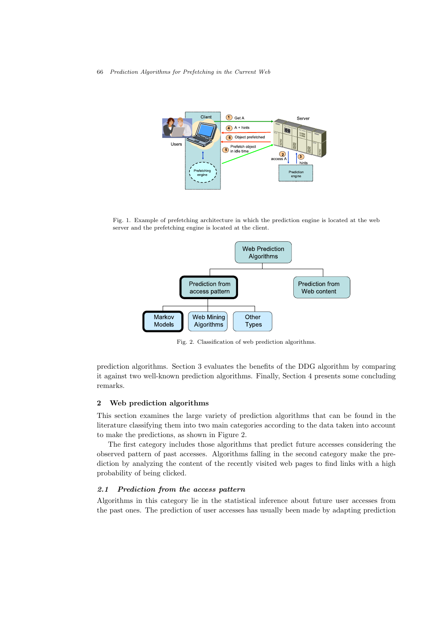66 Prediction Algorithms for Prefetching in the Current Web



Fig. 1. Example of prefetching architecture in which the prediction engine is located at the web server and the prefetching engine is located at the client.



Fig. 2. Classification of web prediction algorithms.

prediction algorithms. Section 3 evaluates the benefits of the DDG algorithm by comparing it against two well-known prediction algorithms. Finally, Section 4 presents some concluding remarks.

### 2 Web prediction algorithms

This section examines the large variety of prediction algorithms that can be found in the literature classifying them into two main categories according to the data taken into account to make the predictions, as shown in Figure 2.

The first category includes those algorithms that predict future accesses considering the observed pattern of past accesses. Algorithms falling in the second category make the prediction by analyzing the content of the recently visited web pages to find links with a high probability of being clicked.

### 2.1 Prediction from the access pattern

Algorithms in this category lie in the statistical inference about future user accesses from the past ones. The prediction of user accesses has usually been made by adapting prediction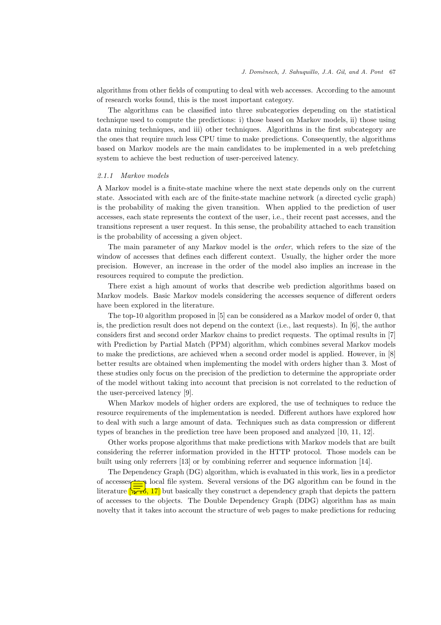algorithms from other fields of computing to deal with web accesses. According to the amount of research works found, this is the most important category.

The algorithms can be classified into three subcategories depending on the statistical technique used to compute the predictions: i) those based on Markov models, ii) those using data mining techniques, and iii) other techniques. Algorithms in the first subcategory are the ones that require much less CPU time to make predictions. Consequently, the algorithms based on Markov models are the main candidates to be implemented in a web prefetching system to achieve the best reduction of user-perceived latency.

#### 2.1.1 Markov models

A Markov model is a finite-state machine where the next state depends only on the current state. Associated with each arc of the finite-state machine network (a directed cyclic graph) is the probability of making the given transition. When applied to the prediction of user accesses, each state represents the context of the user, i.e., their recent past accesses, and the transitions represent a user request. In this sense, the probability attached to each transition is the probability of accessing a given object.

The main parameter of any Markov model is the order, which refers to the size of the window of accesses that defines each different context. Usually, the higher order the more precision. However, an increase in the order of the model also implies an increase in the resources required to compute the prediction.

There exist a high amount of works that describe web prediction algorithms based on Markov models. Basic Markov models considering the accesses sequence of different orders have been explored in the literature.

The top-10 algorithm proposed in [5] can be considered as a Markov model of order 0, that is, the prediction result does not depend on the context (i.e., last requests). In [6], the author considers first and second order Markov chains to predict requests. The optimal results in [7] with Prediction by Partial Match (PPM) algorithm, which combines several Markov models to make the predictions, are achieved when a second order model is applied. However, in [8] better results are obtained when implementing the model with orders higher than 3. Most of these studies only focus on the precision of the prediction to determine the appropriate order of the model without taking into account that precision is not correlated to the reduction of the user-perceived latency [9].

When Markov models of higher orders are explored, the use of techniques to reduce the resource requirements of the implementation is needed. Different authors have explored how to deal with such a large amount of data. Techniques such as data compression or different types of branches in the prediction tree have been proposed and analyzed [10, 11, 12].

Other works propose algorithms that make predictions with Markov models that are built considering the referrer information provided in the HTTP protocol. Those models can be built using only referrers [13] or by combining referrer and sequence information [14].

The Dependency Graph (DG) algorithm, which is evaluated in this work, lies in a predictor of accesses  $\triangle$  local file system. Several versions of the DG algorithm can be found in the literature  $\sqrt{\frac{1}{kT}}$ , 17] but basically they construct a dependency graph that depicts the pattern of accesses to the objects. The Double Dependency Graph (DDG) algorithm has as main novelty that it takes into account the structure of web pages to make predictions for reducing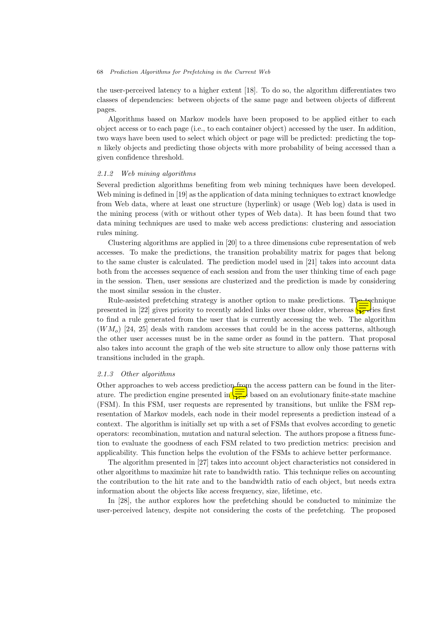#### 68 Prediction Algorithms for Prefetching in the Current Web

the user-perceived latency to a higher extent [18]. To do so, the algorithm differentiates two classes of dependencies: between objects of the same page and between objects of different pages.

Algorithms based on Markov models have been proposed to be applied either to each object access or to each page (i.e., to each container object) accessed by the user. In addition, two ways have been used to select which object or page will be predicted: predicting the topn likely objects and predicting those objects with more probability of being accessed than a given confidence threshold.

#### 2.1.2 Web mining algorithms

Several prediction algorithms benefiting from web mining techniques have been developed. Web mining is defined in [19] as the application of data mining techniques to extract knowledge from Web data, where at least one structure (hyperlink) or usage (Web log) data is used in the mining process (with or without other types of Web data). It has been found that two data mining techniques are used to make web access predictions: clustering and association rules mining.

Clustering algorithms are applied in [20] to a three dimensions cube representation of web accesses. To make the predictions, the transition probability matrix for pages that belong to the same cluster is calculated. The prediction model used in [21] takes into account data both from the accesses sequence of each session and from the user thinking time of each page in the session. Then, user sessions are clusterized and the prediction is made by considering the most similar session in the cluster.

Rule-assisted prefetching strategy is another option to make predictions. The technique presented in [22] gives priority to recently added links over those older, whereas  $\sqrt{\pi}$  dies first to find a rule generated from the user that is currently accessing the web. The algorithm  $(WM<sub>o</sub>)$  [24, 25] deals with random accesses that could be in the access patterns, although the other user accesses must be in the same order as found in the pattern. That proposal also takes into account the graph of the web site structure to allow only those patterns with transitions included in the graph.

#### 2.1.3 Other algorithms

Other approaches to web access prediction from the access pattern can be found in the literature. The prediction engine presented in  $\sqrt{\frac{1}{N}}$  based on an evolutionary finite-state machine (FSM). In this FSM, user requests are represented by transitions, but unlike the FSM representation of Markov models, each node in their model represents a prediction instead of a context. The algorithm is initially set up with a set of FSMs that evolves according to genetic operators: recombination, mutation and natural selection. The authors propose a fitness function to evaluate the goodness of each FSM related to two prediction metrics: precision and applicability. This function helps the evolution of the FSMs to achieve better performance.

The algorithm presented in [27] takes into account object characteristics not considered in other algorithms to maximize hit rate to bandwidth ratio. This technique relies on accounting the contribution to the hit rate and to the bandwidth ratio of each object, but needs extra information about the objects like access frequency, size, lifetime, etc.

In [28], the author explores how the prefetching should be conducted to minimize the user-perceived latency, despite not considering the costs of the prefetching. The proposed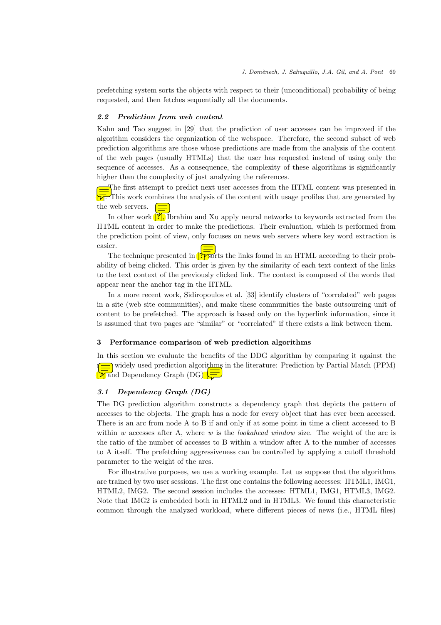prefetching system sorts the objects with respect to their (unconditional) probability of being requested, and then fetches sequentially all the documents.

### 2.2 Prediction from web content

Kahn and Tao suggest in [29] that the prediction of user accesses can be improved if the algorithm considers the organization of the webspace. Therefore, the second subset of web prediction algorithms are those whose predictions are made from the analysis of the content of the web pages (usually HTMLs) that the user has requested instead of using only the sequence of accesses. As a consequence, the complexity of these algorithms is significantly higher than the complexity of just analyzing the references.

The first attempt to predict next user accesses from the HTML content was presented in This work combines the analysis of the content with usage profiles that are generated by the web servers.  $\sqrt{2}$ 

In other work  $\left[\frac{r}{r}\right]$ , Ibrahim and Xu apply neural networks to keywords extracted from the HTML content in order to make the predictions. Their evaluation, which is performed from the prediction point of view, only focuses on news web servers where key word extraction is easier.

The technique presented in  $\frac{1}{2}$  sorts the links found in an HTML according to their probability of being clicked. This order is given by the similarity of each text context of the links to the text context of the previously clicked link. The context is composed of the words that appear near the anchor tag in the HTML.

In a more recent work, Sidiropoulos et al. [33] identify clusters of "correlated" web pages in a site (web site communities), and make these communities the basic outsourcing unit of content to be prefetched. The approach is based only on the hyperlink information, since it is assumed that two pages are "similar" or "correlated" if there exists a link between them.

### 3 Performance comparison of web prediction algorithms

In this section we evaluate the benefits of the DDG algorithm by comparing it against the  $\Box$  widely used prediction algorithms in the literature: Prediction by Partial Match (PPM)  $\sqrt{\pi}$  and Dependency Graph (DG)  $\sqrt{\pi}$ 

### 3.1 Dependency Graph (DG)

The DG prediction algorithm constructs a dependency graph that depicts the pattern of accesses to the objects. The graph has a node for every object that has ever been accessed. There is an arc from node A to B if and only if at some point in time a client accessed to B within  $w$  accesses after A, where  $w$  is the *lookahead window* size. The weight of the arc is the ratio of the number of accesses to B within a window after A to the number of accesses to A itself. The prefetching aggressiveness can be controlled by applying a cutoff threshold parameter to the weight of the arcs.

For illustrative purposes, we use a working example. Let us suppose that the algorithms are trained by two user sessions. The first one contains the following accesses: HTML1, IMG1, HTML2, IMG2. The second session includes the accesses: HTML1, IMG1, HTML3, IMG2. Note that IMG2 is embedded both in HTML2 and in HTML3. We found this characteristic common through the analyzed workload, where different pieces of news (i.e., HTML files)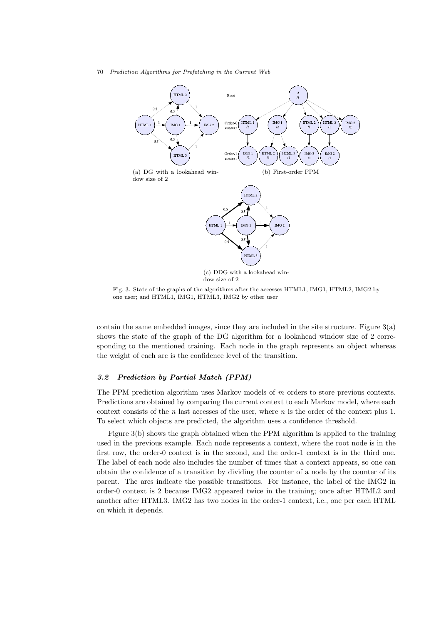70 Prediction Algorithms for Prefetching in the Current Web



Fig. 3. State of the graphs of the algorithms after the accesses HTML1, IMG1, HTML2, IMG2 by one user; and HTML1, IMG1, HTML3, IMG2 by other user

contain the same embedded images, since they are included in the site structure. Figure 3(a) shows the state of the graph of the DG algorithm for a lookahead window size of 2 corresponding to the mentioned training. Each node in the graph represents an object whereas the weight of each arc is the confidence level of the transition.

# 3.2 Prediction by Partial Match (PPM)

The PPM prediction algorithm uses Markov models of m orders to store previous contexts. Predictions are obtained by comparing the current context to each Markov model, where each context consists of the n last accesses of the user, where n is the order of the context plus 1. To select which objects are predicted, the algorithm uses a confidence threshold.

Figure 3(b) shows the graph obtained when the PPM algorithm is applied to the training used in the previous example. Each node represents a context, where the root node is in the first row, the order-0 context is in the second, and the order-1 context is in the third one. The label of each node also includes the number of times that a context appears, so one can obtain the confidence of a transition by dividing the counter of a node by the counter of its parent. The arcs indicate the possible transitions. For instance, the label of the IMG2 in order-0 context is 2 because IMG2 appeared twice in the training; once after HTML2 and another after HTML3. IMG2 has two nodes in the order-1 context, i.e., one per each HTML on which it depends.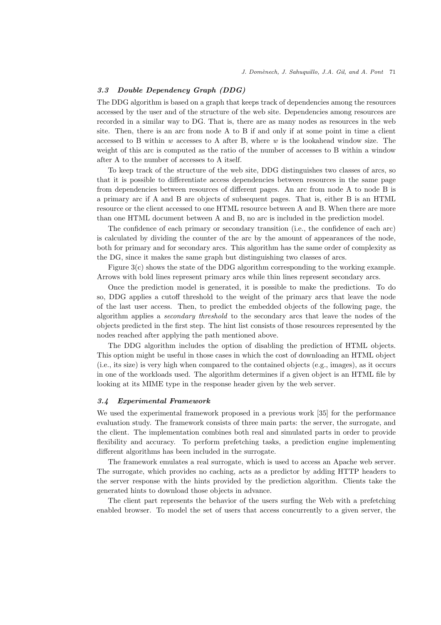# 3.3 Double Dependency Graph (DDG)

The DDG algorithm is based on a graph that keeps track of dependencies among the resources accessed by the user and of the structure of the web site. Dependencies among resources are recorded in a similar way to DG. That is, there are as many nodes as resources in the web site. Then, there is an arc from node A to B if and only if at some point in time a client accessed to B within  $w$  accesses to A after B, where  $w$  is the lookahead window size. The weight of this arc is computed as the ratio of the number of accesses to B within a window after A to the number of accesses to A itself.

To keep track of the structure of the web site, DDG distinguishes two classes of arcs, so that it is possible to differentiate access dependencies between resources in the same page from dependencies between resources of different pages. An arc from node A to node B is a primary arc if A and B are objects of subsequent pages. That is, either B is an HTML resource or the client accessed to one HTML resource between A and B. When there are more than one HTML document between A and B, no arc is included in the prediction model.

The confidence of each primary or secondary transition (i.e., the confidence of each arc) is calculated by dividing the counter of the arc by the amount of appearances of the node, both for primary and for secondary arcs. This algorithm has the same order of complexity as the DG, since it makes the same graph but distinguishing two classes of arcs.

Figure 3(c) shows the state of the DDG algorithm corresponding to the working example. Arrows with bold lines represent primary arcs while thin lines represent secondary arcs.

Once the prediction model is generated, it is possible to make the predictions. To do so, DDG applies a cutoff threshold to the weight of the primary arcs that leave the node of the last user access. Then, to predict the embedded objects of the following page, the algorithm applies a secondary threshold to the secondary arcs that leave the nodes of the objects predicted in the first step. The hint list consists of those resources represented by the nodes reached after applying the path mentioned above.

The DDG algorithm includes the option of disabling the prediction of HTML objects. This option might be useful in those cases in which the cost of downloading an HTML object (i.e., its size) is very high when compared to the contained objects (e.g., images), as it occurs in one of the workloads used. The algorithm determines if a given object is an HTML file by looking at its MIME type in the response header given by the web server.

# 3.4 Experimental Framework

We used the experimental framework proposed in a previous work [35] for the performance evaluation study. The framework consists of three main parts: the server, the surrogate, and the client. The implementation combines both real and simulated parts in order to provide flexibility and accuracy. To perform prefetching tasks, a prediction engine implementing different algorithms has been included in the surrogate.

The framework emulates a real surrogate, which is used to access an Apache web server. The surrogate, which provides no caching, acts as a predictor by adding HTTP headers to the server response with the hints provided by the prediction algorithm. Clients take the generated hints to download those objects in advance.

The client part represents the behavior of the users surfing the Web with a prefetching enabled browser. To model the set of users that access concurrently to a given server, the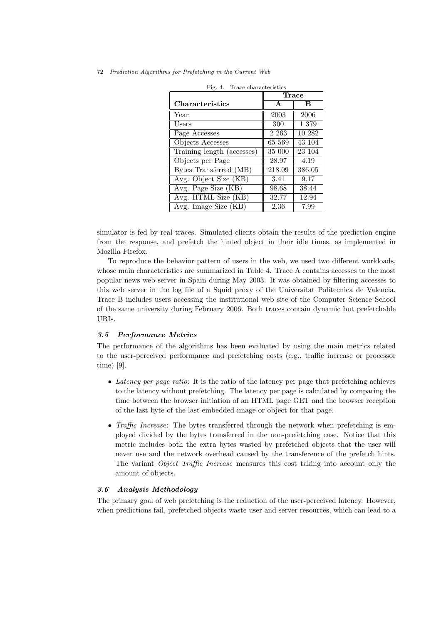|  |  |  |  | 72 Prediction Algorithms for Prefetching in the Current Web |  |  |  |  |
|--|--|--|--|-------------------------------------------------------------|--|--|--|--|
|--|--|--|--|-------------------------------------------------------------|--|--|--|--|

|                            | <b>Trace</b> |        |  |  |
|----------------------------|--------------|--------|--|--|
| Characteristics            | $\mathbf{A}$ | B      |  |  |
| Year                       | 2003         | 2006   |  |  |
| Users                      | 300          | 1 379  |  |  |
| Page Accesses              | 2 2 6 3      | 10 282 |  |  |
| Objects Accesses           | 65 569       | 43 104 |  |  |
| Training length (accesses) | 35 000       | 23 104 |  |  |
| Objects per Page           | 28.97        | 4.19   |  |  |
| Bytes Transferred (MB)     | 218.09       | 386.05 |  |  |
| Avg. Object Size (KB)      | 3.41         | 9.17   |  |  |
| Avg. Page Size (KB)        | 98.68        | 38.44  |  |  |
| Avg. HTML Size (KB)        | 32.77        | 12.94  |  |  |
| Avg. Image Size (KB)       | 2.36         | 7.99   |  |  |

| Fig. $4$ . |  | Trace characteristics |
|------------|--|-----------------------|
|------------|--|-----------------------|

simulator is fed by real traces. Simulated clients obtain the results of the prediction engine from the response, and prefetch the hinted object in their idle times, as implemented in Mozilla Firefox.

To reproduce the behavior pattern of users in the web, we used two different workloads, whose main characteristics are summarized in Table 4. Trace A contains accesses to the most popular news web server in Spain during May 2003. It was obtained by filtering accesses to this web server in the log file of a Squid proxy of the Universitat Politecnica de Valencia. Trace B includes users accessing the institutional web site of the Computer Science School of the same university during February 2006. Both traces contain dynamic but prefetchable URIs.

#### 3.5 Performance Metrics

The performance of the algorithms has been evaluated by using the main metrics related to the user-perceived performance and prefetching costs (e.g., traffic increase or processor time) [9].

- Latency per page ratio: It is the ratio of the latency per page that prefetching achieves to the latency without prefetching. The latency per page is calculated by comparing the time between the browser initiation of an HTML page GET and the browser reception of the last byte of the last embedded image or object for that page.
- Traffic Increase: The bytes transferred through the network when prefetching is employed divided by the bytes transferred in the non-prefetching case. Notice that this metric includes both the extra bytes wasted by prefetched objects that the user will never use and the network overhead caused by the transference of the prefetch hints. The variant Object Traffic Increase measures this cost taking into account only the amount of objects.

### 3.6 Analysis Methodology

The primary goal of web prefetching is the reduction of the user-perceived latency. However, when predictions fail, prefetched objects waste user and server resources, which can lead to a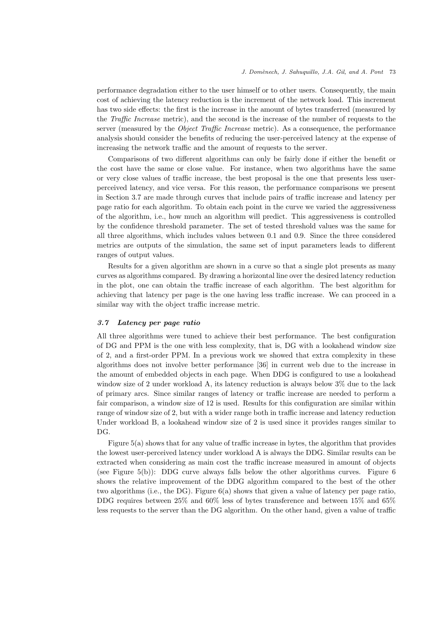performance degradation either to the user himself or to other users. Consequently, the main cost of achieving the latency reduction is the increment of the network load. This increment has two side effects: the first is the increase in the amount of bytes transferred (measured by the Traffic Increase metric), and the second is the increase of the number of requests to the server (measured by the *Object Traffic Increase* metric). As a consequence, the performance analysis should consider the benefits of reducing the user-perceived latency at the expense of increasing the network traffic and the amount of requests to the server.

Comparisons of two different algorithms can only be fairly done if either the benefit or the cost have the same or close value. For instance, when two algorithms have the same or very close values of traffic increase, the best proposal is the one that presents less userperceived latency, and vice versa. For this reason, the performance comparisons we present in Section 3.7 are made through curves that include pairs of traffic increase and latency per page ratio for each algorithm. To obtain each point in the curve we varied the aggressiveness of the algorithm, i.e., how much an algorithm will predict. This aggressiveness is controlled by the confidence threshold parameter. The set of tested threshold values was the same for all three algorithms, which includes values between 0.1 and 0.9. Since the three considered metrics are outputs of the simulation, the same set of input parameters leads to different ranges of output values.

Results for a given algorithm are shown in a curve so that a single plot presents as many curves as algorithms compared. By drawing a horizontal line over the desired latency reduction in the plot, one can obtain the traffic increase of each algorithm. The best algorithm for achieving that latency per page is the one having less traffic increase. We can proceed in a similar way with the object traffic increase metric.

# 3.7 Latency per page ratio

All three algorithms were tuned to achieve their best performance. The best configuration of DG and PPM is the one with less complexity, that is, DG with a lookahead window size of 2, and a first-order PPM. In a previous work we showed that extra complexity in these algorithms does not involve better performance [36] in current web due to the increase in the amount of embedded objects in each page. When DDG is configured to use a lookahead window size of 2 under workload A, its latency reduction is always below 3% due to the lack of primary arcs. Since similar ranges of latency or traffic increase are needed to perform a fair comparison, a window size of 12 is used. Results for this configuration are similar within range of window size of 2, but with a wider range both in traffic increase and latency reduction Under workload B, a lookahead window size of 2 is used since it provides ranges similar to DG.

Figure 5(a) shows that for any value of traffic increase in bytes, the algorithm that provides the lowest user-perceived latency under workload A is always the DDG. Similar results can be extracted when considering as main cost the traffic increase measured in amount of objects (see Figure 5(b)): DDG curve always falls below the other algorithms curves. Figure 6 shows the relative improvement of the DDG algorithm compared to the best of the other two algorithms (i.e., the DG). Figure 6(a) shows that given a value of latency per page ratio, DDG requires between 25% and 60% less of bytes transference and between 15% and 65% less requests to the server than the DG algorithm. On the other hand, given a value of traffic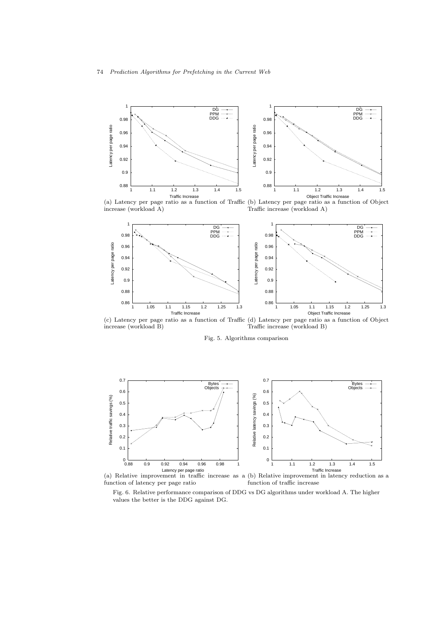

(a) Latency per page ratio as a function of Traffic (b) Latency per page ratio as a function of Object increase (workload A) Traffic increase (workload A)



(c) Latency per page ratio as a function of Traffic (d) Latency per page ratio as a function of Object increase (workload B) Traffic increase (workload B)

Fig. 5. Algorithms comparison



(a) Relative improvement in traffic increase as a (b) Relative improvement in latency reduction as a function of latency per page ratio function of traffic increase

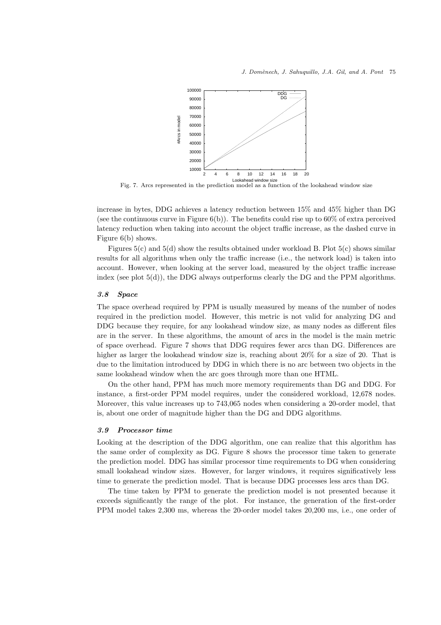

Fig. 7. Arcs represented in the prediction model as a function of the lookahead window size

increase in bytes, DDG achieves a latency reduction between 15% and 45% higher than DG (see the continuous curve in Figure  $6(b)$ ). The benefits could rise up to  $60\%$  of extra perceived latency reduction when taking into account the object traffic increase, as the dashed curve in Figure 6(b) shows.

Figures  $5(c)$  and  $5(d)$  show the results obtained under workload B. Plot  $5(c)$  shows similar results for all algorithms when only the traffic increase (i.e., the network load) is taken into account. However, when looking at the server load, measured by the object traffic increase index (see plot  $5(d)$ ), the DDG always outperforms clearly the DG and the PPM algorithms.

### 3.8 Space

The space overhead required by PPM is usually measured by means of the number of nodes required in the prediction model. However, this metric is not valid for analyzing DG and DDG because they require, for any lookahead window size, as many nodes as different files are in the server. In these algorithms, the amount of arcs in the model is the main metric of space overhead. Figure 7 shows that DDG requires fewer arcs than DG. Differences are higher as larger the lookahead window size is, reaching about 20% for a size of 20. That is due to the limitation introduced by DDG in which there is no arc between two objects in the same lookahead window when the arc goes through more than one HTML.

On the other hand, PPM has much more memory requirements than DG and DDG. For instance, a first-order PPM model requires, under the considered workload, 12,678 nodes. Moreover, this value increases up to 743,065 nodes when considering a 20-order model, that is, about one order of magnitude higher than the DG and DDG algorithms.

#### 3.9 Processor time

Looking at the description of the DDG algorithm, one can realize that this algorithm has the same order of complexity as DG. Figure 8 shows the processor time taken to generate the prediction model. DDG has similar processor time requirements to DG when considering small lookahead window sizes. However, for larger windows, it requires significatively less time to generate the prediction model. That is because DDG processes less arcs than DG.

The time taken by PPM to generate the prediction model is not presented because it exceeds significantly the range of the plot. For instance, the generation of the first-order PPM model takes 2,300 ms, whereas the 20-order model takes 20,200 ms, i.e., one order of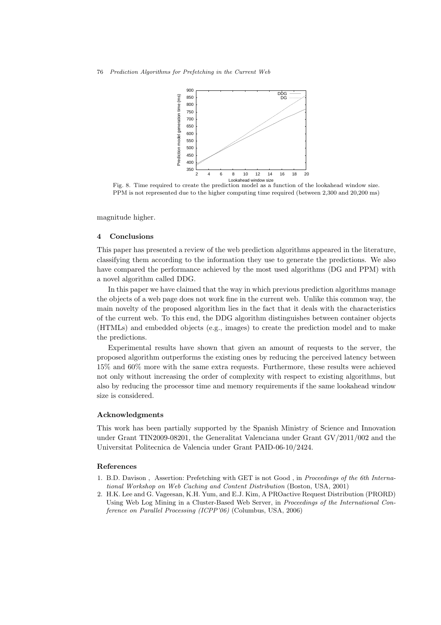

Fig. 8. Time required to create the prediction model as a function of the lookahead window size. PPM is not represented due to the higher computing time required (between 2,300 and 20,200 ms)

magnitude higher.

#### 4 Conclusions

This paper has presented a review of the web prediction algorithms appeared in the literature, classifying them according to the information they use to generate the predictions. We also have compared the performance achieved by the most used algorithms (DG and PPM) with a novel algorithm called DDG.

In this paper we have claimed that the way in which previous prediction algorithms manage the objects of a web page does not work fine in the current web. Unlike this common way, the main novelty of the proposed algorithm lies in the fact that it deals with the characteristics of the current web. To this end, the DDG algorithm distinguishes between container objects (HTMLs) and embedded objects (e.g., images) to create the prediction model and to make the predictions.

Experimental results have shown that given an amount of requests to the server, the proposed algorithm outperforms the existing ones by reducing the perceived latency between 15% and 60% more with the same extra requests. Furthermore, these results were achieved not only without increasing the order of complexity with respect to existing algorithms, but also by reducing the processor time and memory requirements if the same lookahead window size is considered.

### Acknowledgments

This work has been partially supported by the Spanish Ministry of Science and Innovation under Grant TIN2009-08201, the Generalitat Valenciana under Grant GV/2011/002 and the Universitat Politecnica de Valencia under Grant PAID-06-10/2424.

### References

- 1. B.D. Davison , Assertion: Prefetching with GET is not Good , in *Proceedings of the 6th International Workshop on Web Caching and Content Distribution* (Boston, USA, 2001)
- 2. H.K. Lee and G. Vageesan, K.H. Yum, and E.J. Kim, A PROactive Request Distribution (PRORD) Using Web Log Mining in a Cluster-Based Web Server, in *Proceedings of the International Conference on Parallel Processing (ICPP'06)* (Columbus, USA, 2006)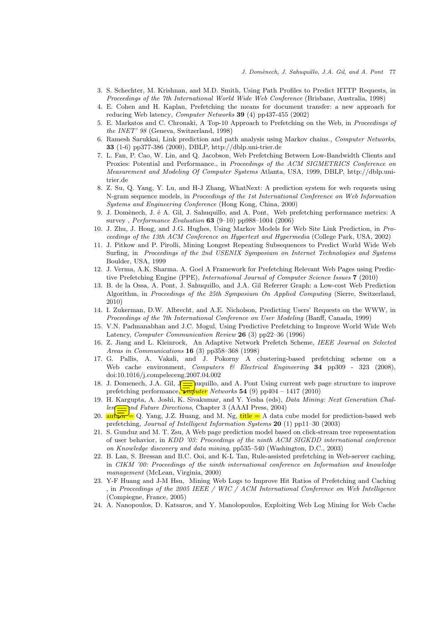- 3. S. Schechter, M. Krishnan, and M.D. Smith, Using Path Profiles to Predict HTTP Requests, in *Proceedings of the 7th International World Wide Web Conference* (Brisbane, Australia, 1998)
- 4. E. Cohen and H. Kaplan, Prefetching the means for document transfer: a new approach for reducing Web latency, *Computer Networks* 39 (4) pp437-455 (2002)
- 5. E. Markatos and C. Chronaki, A Top-10 Approach to Prefetching on the Web, in *Proceedings of the INET' 98* (Geneva, Switzerland, 1998)
- 6. Ramesh Sarukkai, Link prediction and path analysis using Markov chains., *Computer Networks*, 33 (1-6) pp377-386 (2000), DBLP, http://dblp.uni-trier.de
- 7. L. Fan, P. Cao, W. Lin, and Q. Jacobson, Web Prefetching Between Low-Bandwidth Clients and Proxies: Potential and Performance., in *Proceedings of the ACM SIGMETRICS Conference on Measurement and Modeling Of Computer Systems* Atlanta, USA, 1999, DBLP, http://dblp.unitrier.de
- 8. Z. Su, Q. Yang, Y. Lu, and H-J Zhang, WhatNext: A prediction system for web requests using N-gram sequence models, in *Proceedings of the 1st International Conference on Web Information Systems and Engineering Conference* (Hong Kong, China, 2000)
- 9. J. Domènech, J. é A. Gil, J. Sahuquillo, and A. Pont, Web prefetching performance metrics: A survey , *Performance Evaluation* 63 (9–10) pp988–1004 (2006)
- 10. J. Zhu, J. Hong, and J.G. Hughes, Using Markov Models for Web Site Link Prediction, in *Proceedings of the 13th ACM Conference on Hypertext and Hypermedia* (College Park, USA, 2002)
- 11. J. Pitkow and P. Pirolli, Mining Longest Repeating Subsequences to Predict World Wide Web Surfing, in *Proceedings of the 2nd USENIX Symposium on Internet Technologies and Systems* Boulder, USA, 1999
- 12. J. Verma, A.K. Sharma. A. Goel A Framework for Prefetching Relevant Web Pages using Predictive Prefetching Engine (PPE), *International Journal of Computer Science Issues* 7 (2010)
- 13. B. de la Ossa, A. Pont, J. Sahuquillo, and J.A. Gil Referrer Graph: a Low-cost Web Prediction Algorithm, in *Proceedings of the 25th Symposium On Applied Computing* (Sierre, Switzerland, 2010)
- 14. I. Zukerman, D.W. Albrecht, and A.E. Nicholson, Predicting Users' Requests on the WWW, in *Proceedings of the 7th International Conference on User Modeling* (Banff, Canada, 1999)
- 15. V.N. Padmanabhan and J.C. Mogul, Using Predictive Prefetching to Improve World Wide Web Latency, *Computer Communication Review* 26 (3) pp22–36 (1996)
- 16. Z. Jiang and L. Kleinrock, An Adaptive Network Prefetch Scheme, *IEEE Journal on Selected Areas in Communications* 16 (3) pp358–368 (1998)
- 17. G. Pallis, A. Vakali, and J. Pokorny A clustering-based prefetching scheme on a Web cache environment, *Computers & Electrical Engineering* 34 pp309 - 323 (2008), doi:10.1016/j.compeleceng.2007.04.002
- 18. J. Domenech, J.A. Gil, Juquillo, and A. Pont Using current web page structure to improve prefetching performance, *maputer Networks* 54 (9) pp404 – 1417 (2010)
- 19. H. Kargupta, A. Joshi, K. Sivakumar, and Y. Yesha (eds), *Data Mining: Next Generation Challen* ind Future Directions, Chapter 3 (AAAI Press, 2004)
- 20.  $\text{aut}_\mathbf{p}$  = Q. Yang, J.Z. Huang, and M. Ng, title = A data cube model for prediction-based web prefetching, *Journal of Intelligent Information Systems* 20 (1) pp11–30 (2003)
- 21. S. Gunduz and M. T. Zsu, A Web page prediction model based on click-stream tree representation of user behavior, in *KDD '03: Proceedings of the ninth ACM SIGKDD international conference on Knowledge discovery and data mining*, pp535–540 (Washington, D.C., 2003)
- 22. B. Lan, S. Bressan and B.C. Ooi, and K-L Tan, Rule-assisted prefetching in Web-server caching, in *CIKM '00: Proceedings of the ninth international conference on Information and knowledge management* (McLean, Virginia, 2000)
- 23. Y-F Huang and J-M Hsu, Mining Web Logs to Improve Hit Ratios of Prefetching and Caching , in *Proceedings of the 2005 IEEE / WIC / ACM International Conference on Web Intelligence* (Compiegne, France, 2005)
- 24. A. Nanopoulos, D. Katsaros, and Y. Manolopoulos, Exploiting Web Log Mining for Web Cache